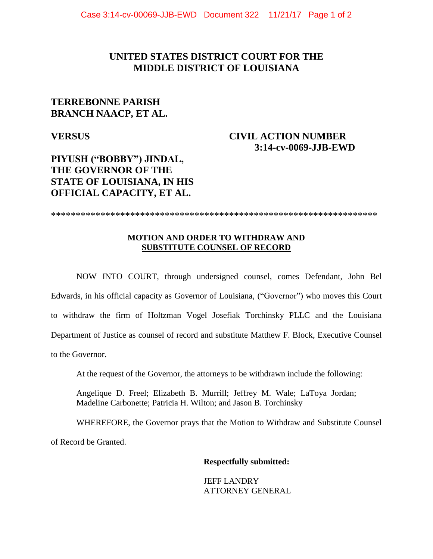## **UNITED STATES DISTRICT COURT FOR THE MIDDLE DISTRICT OF LOUISIANA**

# **TERREBONNE PARISH BRANCH NAACP, ET AL.**

**VERSUS** 

## **CIVIL ACTION NUMBER 3:14-cv-0069-JJB-EWD**

# **PIYUSH ("BOBBY") JINDAL, THE GOVERNOR OF THE STATE OF LOUISIANA, IN HIS OFFICIAL CAPACITY, ET AL.**

\*\*\*\*\*\*\*\*\*\*\*\*\*\*\*\*\*\*\*\*\*\*\*\*\*\*\*\*\*\*\*\*\*\*\*\*\*\*\*\*\*\*\*\*\*\*\*\*\*\*\*\*\*\*\*\*\*\*\*\*\*\*\*\*\*\*

### **MOTION AND ORDER TO WITHDRAW AND SUBSTITUTE COUNSEL OF RECORD**

NOW INTO COURT, through undersigned counsel, comes Defendant, John Bel Edwards, in his official capacity as Governor of Louisiana, ("Governor") who moves this Court to withdraw the firm of Holtzman Vogel Josefiak Torchinsky PLLC and the Louisiana Department of Justice as counsel of record and substitute Matthew F. Block, Executive Counsel to the Governor.

At the request of the Governor, the attorneys to be withdrawn include the following:

Angelique D. Freel; Elizabeth B. Murrill; Jeffrey M. Wale; LaToya Jordan; Madeline Carbonette; Patricia H. Wilton; and Jason B. Torchinsky

WHEREFORE, the Governor prays that the Motion to Withdraw and Substitute Counsel of Record be Granted.

### **Respectfully submitted:**

JEFF LANDRY ATTORNEY GENERAL